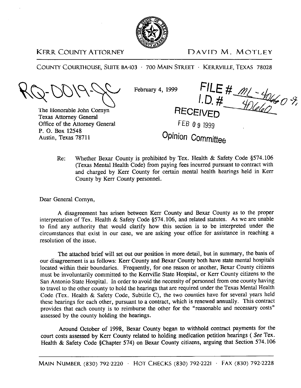

KERR COUNTY ATTORNEY DAVID M. MOTLEY

COUNTY COURTHOUSE, SUITE BA-103 · 700 MAIN STREET · KERRVILLE, TEXAS 78028

February 4, 1999

The Honorable John Cornyn-Texas Attorney General Office of the Attorney General P. 0. Box 12548 Austin, Texas 78711

9 FILE #  $m_1 - 40460$  %.<br>I.D. #  $40460$  %.

FEB 0 9 1999

## **Opinion Committee**

Re: Whether Bexar County is prohibited by Tex. Health & Safety Code \$574.106 (Texas Mental Health Code) from paying fees incurred pursuant to contract with and charged by Kerr County for certain mental health hearings held in Kerr County by Kerr County personnel.

Dear General Comyn,

A disagreement has arisen between Kerr County and Bexar County as to the proper interpretation of Tex. Health & Safety Code \$574.106, and related statutes. As we are unable to find any authority that would clarify how this section is to be interpreted under the circumstances that exist in our case, we are asking your office for assistance in reaching a resolution of the issue.

The attached brief will set out our position in more detail, but in summary, the basis of our disagreement is as follows: Kerr County and Bexar County both have state mental hospitals located within their boundaries. Frequently, for one reason or another, Bexar County citizens must be involuntarily committed to the Kerrville State Hospital, or Kerr County citizens to the San Antonio State Hospital. In order to avoid the necessity of personnel from one county having to travel to the other county to hold the hearings that are required under the Texas Mental Health Code (Tex. Health & Safety Code, Subtitle C), the two counties have for several years held these hearings for each other, pursuant to a contract, which is renewed annually. This contract provides that each county is to reimburse the other for the "reasonable and necessary costs" assessed by the county holding the hearings.

Around October of 1998, Bexar County began to withhold contract payments for the court costs assessed by Kerr County related to holding medication petition hearings ( See Tex. Health & Safety Code gChapter 574) on Bexar County citizens, arguing that Section 574.106